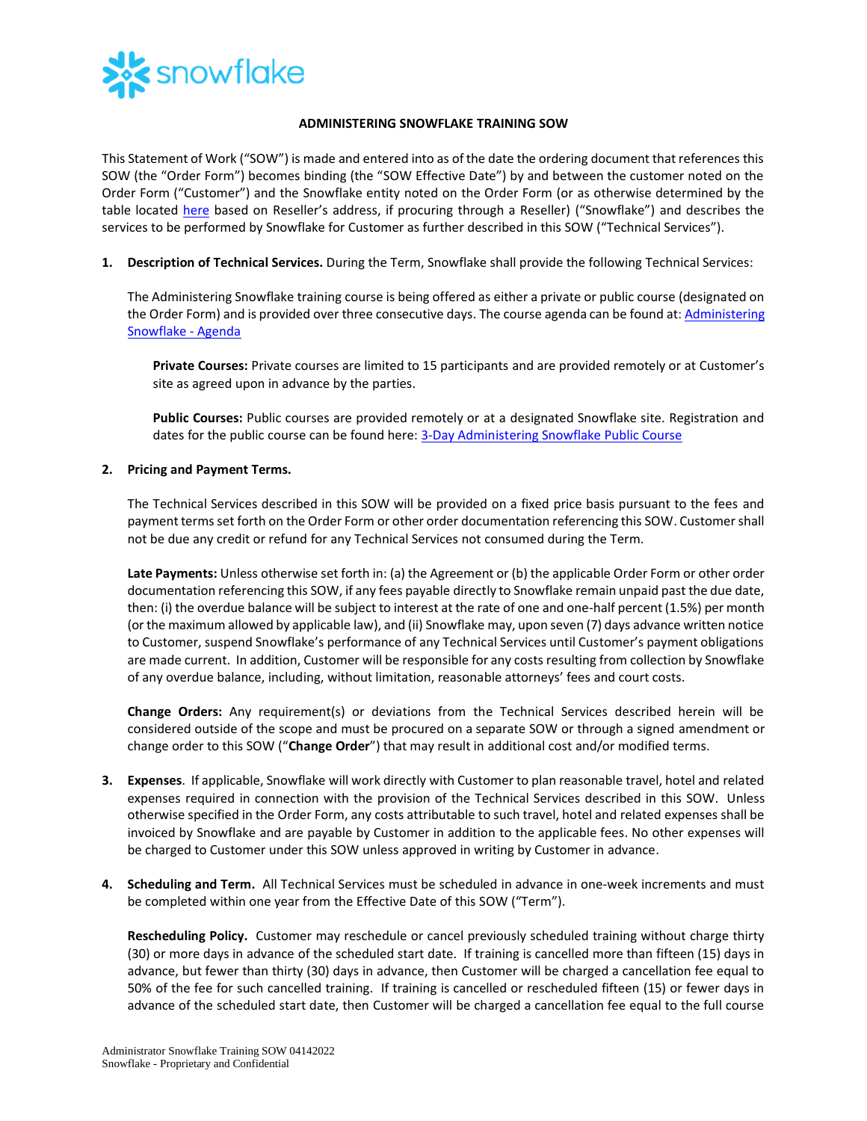

## **ADMINISTERING SNOWFLAKE TRAINING SOW**

This Statement of Work ("SOW") is made and entered into as of the date the ordering document that references this SOW (the "Order Form") becomes binding (the "SOW Effective Date") by and between the customer noted on the Order Form ("Customer") and the Snowflake entity noted on the Order Form (or as otherwise determined by the table located [here](https://www.snowflake.com/legal/snowflake-contracting-entities/) based on Reseller's address, if procuring through a Reseller) ("Snowflake") and describes the services to be performed by Snowflake for Customer as further described in this SOW ("Technical Services").

**1. Description of Technical Services.** During the Term, Snowflake shall provide the following Technical Services:

The Administering Snowflake training course is being offered as either a private or public course (designated on the Order Form) and is provided over three consecutive days. The course agenda can be found at: Administering [Snowflake -](https://bit.ly/Admin3Day-datasheet) Agenda

**Private Courses:** Private courses are limited to 15 participants and are provided remotely or at Customer's site as agreed upon in advance by the parties.

**Public Courses:** Public courses are provided remotely or at a designated Snowflake site. Registration and dates for the public course can be found here: [3-Day Administering Snowflake](https://training.snowflake.com/schedule) Public Course

## **2. Pricing and Payment Terms.**

The Technical Services described in this SOW will be provided on a fixed price basis pursuant to the fees and payment terms set forth on the Order Form or other order documentation referencing this SOW. Customer shall not be due any credit or refund for any Technical Services not consumed during the Term.

**Late Payments:** Unless otherwise set forth in: (a) the Agreement or (b) the applicable Order Form or other order documentation referencing this SOW, if any fees payable directly to Snowflake remain unpaid past the due date, then: (i) the overdue balance will be subject to interest at the rate of one and one-half percent (1.5%) per month (or the maximum allowed by applicable law), and (ii) Snowflake may, upon seven (7) days advance written notice to Customer, suspend Snowflake's performance of any Technical Services until Customer's payment obligations are made current. In addition, Customer will be responsible for any costs resulting from collection by Snowflake of any overdue balance, including, without limitation, reasonable attorneys' fees and court costs.

**Change Orders:** Any requirement(s) or deviations from the Technical Services described herein will be considered outside of the scope and must be procured on a separate SOW or through a signed amendment or change order to this SOW ("**Change Order**") that may result in additional cost and/or modified terms.

- **3. Expenses**. If applicable, Snowflake will work directly with Customer to plan reasonable travel, hotel and related expenses required in connection with the provision of the Technical Services described in this SOW. Unless otherwise specified in the Order Form, any costs attributable to such travel, hotel and related expenses shall be invoiced by Snowflake and are payable by Customer in addition to the applicable fees. No other expenses will be charged to Customer under this SOW unless approved in writing by Customer in advance.
- **4. Scheduling and Term.** All Technical Services must be scheduled in advance in one-week increments and must be completed within one year from the Effective Date of this SOW ("Term").

**Rescheduling Policy.** Customer may reschedule or cancel previously scheduled training without charge thirty (30) or more days in advance of the scheduled start date. If training is cancelled more than fifteen (15) days in advance, but fewer than thirty (30) days in advance, then Customer will be charged a cancellation fee equal to 50% of the fee for such cancelled training. If training is cancelled or rescheduled fifteen (15) or fewer days in advance of the scheduled start date, then Customer will be charged a cancellation fee equal to the full course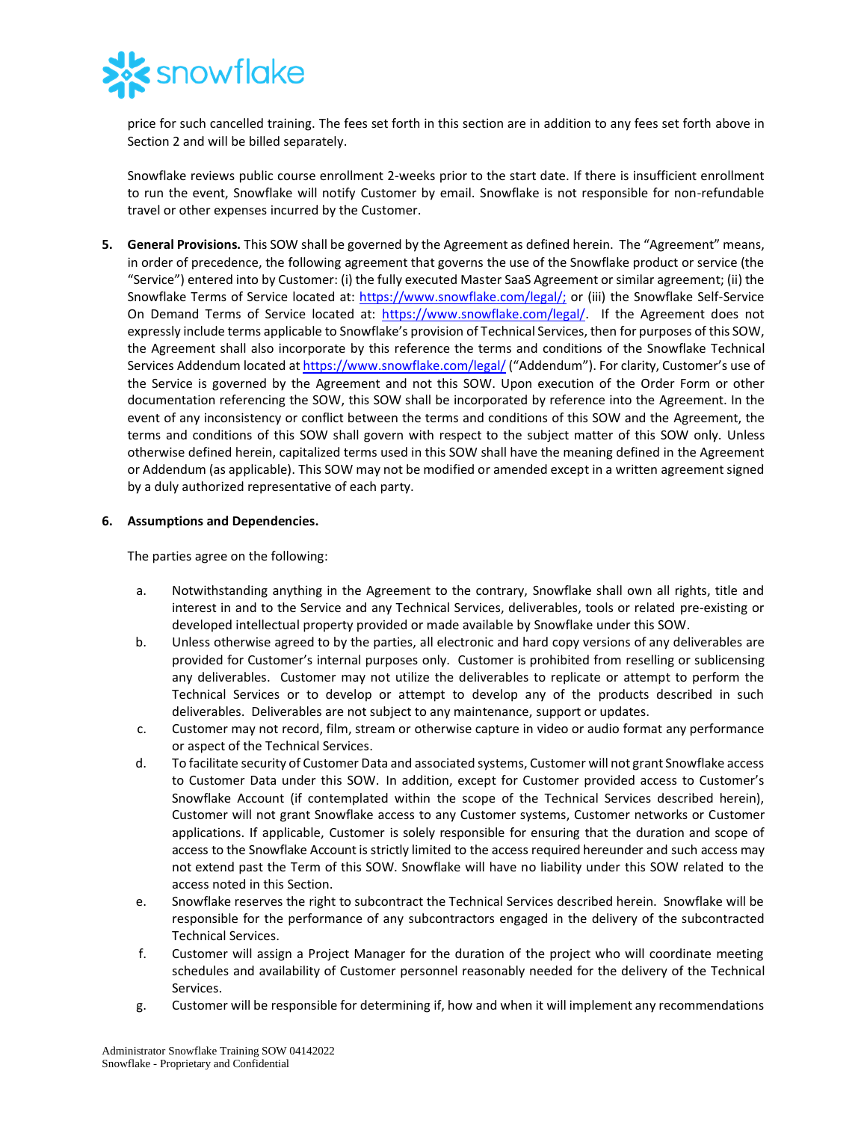

price for such cancelled training. The fees set forth in this section are in addition to any fees set forth above in Section 2 and will be billed separately.

Snowflake reviews public course enrollment 2-weeks prior to the start date. If there is insufficient enrollment to run the event, Snowflake will notify Customer by email. Snowflake is not responsible for non-refundable travel or other expenses incurred by the Customer.

**5. General Provisions.** This SOW shall be governed by the Agreement as defined herein. The "Agreement" means, in order of precedence, the following agreement that governs the use of the Snowflake product or service (the "Service") entered into by Customer: (i) the fully executed Master SaaS Agreement or similar agreement; (ii) the Snowflake Terms of Service located at: [https://www.snowflake.com/legal/;](https://www.snowflake.com/legal/) or (iii) the Snowflake Self-Service On Demand Terms of Service located at: [https://www.snowflake.com/legal/.](https://www.snowflake.com/legal/) If the Agreement does not expressly include terms applicable to Snowflake's provision of Technical Services, then for purposes of this SOW, the Agreement shall also incorporate by this reference the terms and conditions of the Snowflake Technical Services Addendum located a[t https://www.snowflake.com/legal/](https://www.snowflake.com/legal/) ("Addendum"). For clarity, Customer's use of the Service is governed by the Agreement and not this SOW. Upon execution of the Order Form or other documentation referencing the SOW, this SOW shall be incorporated by reference into the Agreement. In the event of any inconsistency or conflict between the terms and conditions of this SOW and the Agreement, the terms and conditions of this SOW shall govern with respect to the subject matter of this SOW only. Unless otherwise defined herein, capitalized terms used in this SOW shall have the meaning defined in the Agreement or Addendum (as applicable). This SOW may not be modified or amended except in a written agreement signed by a duly authorized representative of each party.

## **6. Assumptions and Dependencies.**

The parties agree on the following:

- a. Notwithstanding anything in the Agreement to the contrary, Snowflake shall own all rights, title and interest in and to the Service and any Technical Services, deliverables, tools or related pre-existing or developed intellectual property provided or made available by Snowflake under this SOW.
- b. Unless otherwise agreed to by the parties, all electronic and hard copy versions of any deliverables are provided for Customer's internal purposes only. Customer is prohibited from reselling or sublicensing any deliverables. Customer may not utilize the deliverables to replicate or attempt to perform the Technical Services or to develop or attempt to develop any of the products described in such deliverables. Deliverables are not subject to any maintenance, support or updates.
- c. Customer may not record, film, stream or otherwise capture in video or audio format any performance or aspect of the Technical Services.
- d. To facilitate security of Customer Data and associated systems, Customer will not grant Snowflake access to Customer Data under this SOW. In addition, except for Customer provided access to Customer's Snowflake Account (if contemplated within the scope of the Technical Services described herein), Customer will not grant Snowflake access to any Customer systems, Customer networks or Customer applications. If applicable, Customer is solely responsible for ensuring that the duration and scope of access to the Snowflake Account is strictly limited to the access required hereunder and such access may not extend past the Term of this SOW. Snowflake will have no liability under this SOW related to the access noted in this Section.
- e. Snowflake reserves the right to subcontract the Technical Services described herein. Snowflake will be responsible for the performance of any subcontractors engaged in the delivery of the subcontracted Technical Services.
- f. Customer will assign a Project Manager for the duration of the project who will coordinate meeting schedules and availability of Customer personnel reasonably needed for the delivery of the Technical Services.
- g. Customer will be responsible for determining if, how and when it will implement any recommendations